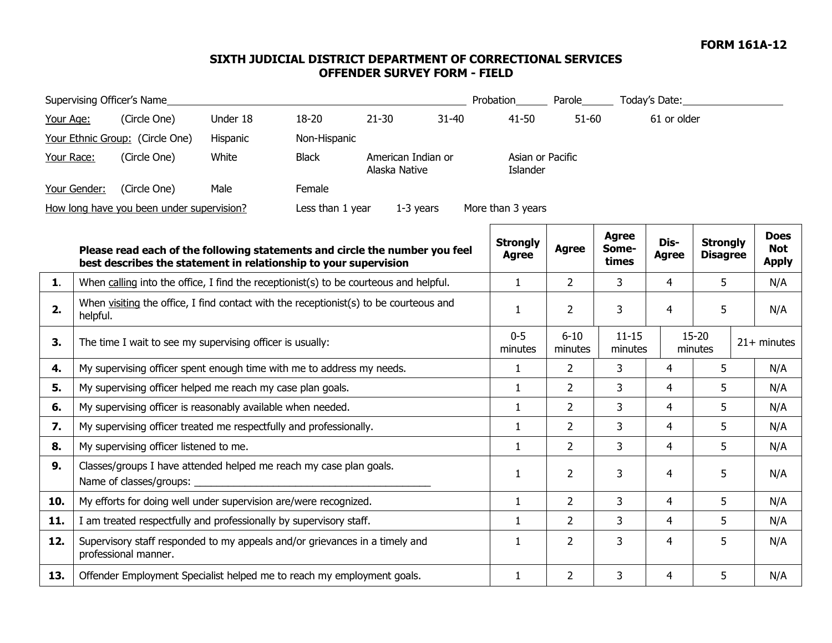## **SIXTH JUDICIAL DISTRICT DEPARTMENT OF CORRECTIONAL SERVICES OFFENDER SURVEY FORM - FIELD**

| Supervising Officer's Name                                                                        |                                                                                                     |                                                                                                                                                 |          |              |               |                    |                    |                                 |                      | Probation__________ Parole_________ Today's Date:___ |                      |                                    |                                           |
|---------------------------------------------------------------------------------------------------|-----------------------------------------------------------------------------------------------------|-------------------------------------------------------------------------------------------------------------------------------------------------|----------|--------------|---------------|--------------------|--------------------|---------------------------------|----------------------|------------------------------------------------------|----------------------|------------------------------------|-------------------------------------------|
| Your Age:                                                                                         |                                                                                                     | (Circle One)                                                                                                                                    | Under 18 | 18-20        | $21 - 30$     | $31 - 40$          |                    | $41 - 50$                       |                      | $51 - 60$<br>61 or older                             |                      |                                    |                                           |
|                                                                                                   |                                                                                                     | Your Ethnic Group: (Circle One)                                                                                                                 | Hispanic | Non-Hispanic |               |                    |                    |                                 |                      |                                                      |                      |                                    |                                           |
| Your Race:                                                                                        |                                                                                                     | (Circle One)                                                                                                                                    | White    | <b>Black</b> | Alaska Native | American Indian or |                    | Asian or Pacific<br>Islander    |                      |                                                      |                      |                                    |                                           |
|                                                                                                   | Your Gender:                                                                                        | (Circle One)                                                                                                                                    | Male     | Female       |               |                    |                    |                                 |                      |                                                      |                      |                                    |                                           |
| How long have you been under supervision?<br>Less than 1 year<br>More than 3 years<br>$1-3$ years |                                                                                                     |                                                                                                                                                 |          |              |               |                    |                    |                                 |                      |                                                      |                      |                                    |                                           |
|                                                                                                   |                                                                                                     | Please read each of the following statements and circle the number you feel<br>best describes the statement in relationship to your supervision |          |              |               |                    |                    | <b>Strongly</b><br><b>Agree</b> | <b>Agree</b>         | <b>Agree</b><br>Some-<br>times                       | Dis-<br><b>Agree</b> | <b>Strongly</b><br><b>Disagree</b> | <b>Does</b><br><b>Not</b><br><b>Apply</b> |
| 1.                                                                                                | When calling into the office, I find the receptionist(s) to be courteous and helpful.               |                                                                                                                                                 |          |              |               |                    |                    | $\mathbf{1}$                    | $2^{\circ}$          | 3                                                    | $\overline{4}$       | 5                                  | N/A                                       |
| 2.                                                                                                | When visiting the office, I find contact with the receptionist(s) to be courteous and<br>helpful.   |                                                                                                                                                 |          |              |               |                    |                    | 1                               | $\overline{2}$       | 3                                                    | 4                    | 5                                  | N/A                                       |
| 3.                                                                                                | The time I wait to see my supervising officer is usually:                                           |                                                                                                                                                 |          |              |               |                    | $0 - 5$<br>minutes | $6 - 10$<br>minutes             | $11 - 15$<br>minutes | $15 - 20$<br>minutes                                 |                      | $21+$ minutes                      |                                           |
| 4.                                                                                                | My supervising officer spent enough time with me to address my needs.                               |                                                                                                                                                 |          |              |               |                    | $\mathbf{1}$       | $\mathbf{2}$                    | 3                    | 4                                                    | 5                    | N/A                                |                                           |
| 5.                                                                                                | My supervising officer helped me reach my case plan goals.                                          |                                                                                                                                                 |          |              |               |                    |                    | $\mathbf{1}$                    | $\overline{2}$       | 3                                                    | $\overline{4}$       | 5                                  | N/A                                       |
| 6.                                                                                                | My supervising officer is reasonably available when needed.                                         |                                                                                                                                                 |          |              |               |                    |                    | $\mathbf{1}$                    | $\overline{2}$       | 3                                                    | 4                    | 5                                  | N/A                                       |
| 7.                                                                                                | My supervising officer treated me respectfully and professionally.                                  |                                                                                                                                                 |          |              |               |                    |                    | $\mathbf{1}$                    | $\overline{2}$       | 3                                                    | 4                    | 5                                  | N/A                                       |
| 8.                                                                                                | My supervising officer listened to me.                                                              |                                                                                                                                                 |          |              |               |                    |                    | $\mathbf{1}$                    | $\overline{2}$       | 3                                                    | $\overline{4}$       | 5                                  | N/A                                       |
| 9.                                                                                                | Classes/groups I have attended helped me reach my case plan goals.<br>Name of classes/groups: _     |                                                                                                                                                 |          |              |               |                    |                    | $\mathbf{1}$                    | $\overline{2}$       | 3                                                    | 4                    | 5                                  | N/A                                       |
| 10.                                                                                               | My efforts for doing well under supervision are/were recognized.                                    |                                                                                                                                                 |          |              |               |                    |                    | $\mathbf{1}$                    | $\overline{2}$       | 3                                                    | $\overline{4}$       | 5                                  | N/A                                       |
| 11.                                                                                               | I am treated respectfully and professionally by supervisory staff.                                  |                                                                                                                                                 |          |              |               |                    | $\mathbf{1}$       | $\overline{2}$                  | $\overline{3}$       | $\overline{4}$                                       | 5                    | N/A                                |                                           |
| 12.                                                                                               | Supervisory staff responded to my appeals and/or grievances in a timely and<br>professional manner. |                                                                                                                                                 |          |              |               |                    |                    | $\mathbf{1}$                    | $\overline{2}$       | 3                                                    | 4                    | 5                                  | N/A                                       |
| 13.                                                                                               | Offender Employment Specialist helped me to reach my employment goals.                              |                                                                                                                                                 |          |              |               |                    | $\mathbf{1}$       | $\overline{2}$                  | 3                    | $\overline{4}$                                       | 5                    | N/A                                |                                           |